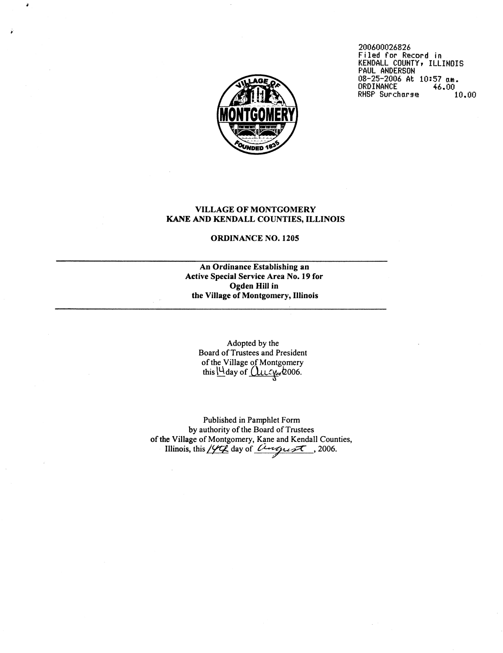

200600026826 **Filed for Record in KENDALL COUNTYI ILLINOIS PAUL ANDERSON**  03-25-2006 **At 10:57 nm. ORDI NANCE** 46 .00 RHSP Surcharse 10.00

# VILLAGE OF MONTGOMERY **KANE** AND KENDALL COUNTIES, ILLINOIS

### ORDINANCE NO. 1205

An Ordinance Establishing an Active Special Service Area No. 19 for Ogden Hill in the Village of Montgomery, Illinois

Adopted by the Board of Trustees and President of the Village of Montgomery this  $\bigcup$ day of  $\bigcup_{\mathcal{U}} \bigcup_{\mathcal{U}} Q$ 006.

Published in Pamphlet Form by authority of the Board of Trustees of the Village of Montgomery, Kane and Kendall Counties, Illinois, this/m day of *L~\*vppu* +T , 2006.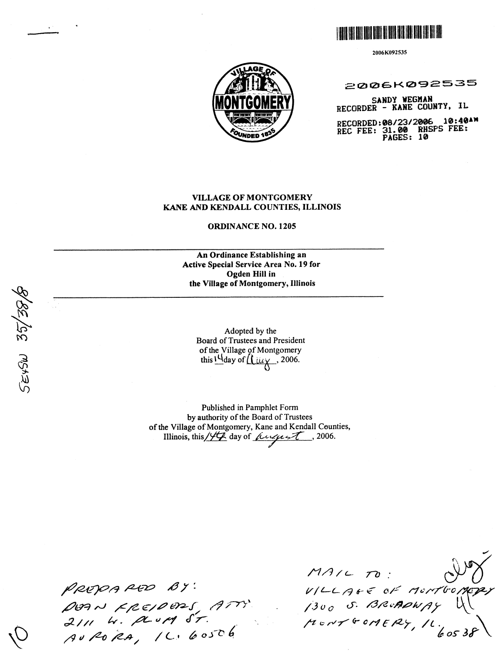

2006K092535



2006K092535

SANDY WEGHAN RECORDER - KANE COUNTY, IL

RECORDED:08/23/2006 10:40<br>REC FEE: 31.00 RHSPS FEE:<br>PAGES: 10 10:40AM

### **VILLAGE OF MONTGOMERY** KANE AND KENDALL COUNTIES, ILLINOIS

**ORDINANCE NO. 1205** 

An Ordinance Establishing an Active Special Service Area No. 19 for Ogden Hill in the Village of Montgomery, Illinois

Adopted by the Board of Trustees and President of the Village of Montgomery this  $14$  day of  $\mu_{\mu}$ , 2006.

Published in Pamphlet Form by authority of the Board of Trustees of the Village of Montgomery, Kane and Kendall Counties, Illinois, this  $/44$  day of *fugurat*, 2006.

PREPARED BY:<br>DEAN FREIDERS ATT:<br>2111 W. Rund ST.<br>AUPORA, IL: 60506

 $MALCO$ VILLAGE OF MONTOON  $\mu$  c N T G OMERY, IL.

SEYSW 35/38/8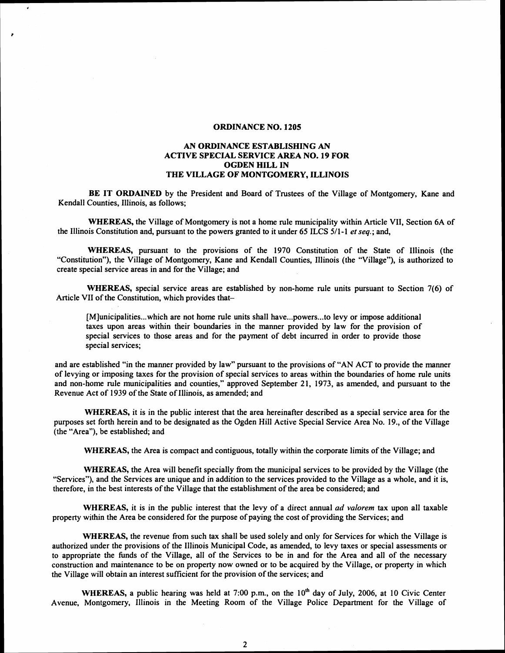### **ORDINANCE NO. 1205**

### **AN ORDINANCE ESTABLISHING AN ACTIVE SPECIAL SERVICE AREA NO. 19 FOR OGDEN HILL IN THE VILLAGE OF MONTGOMERY, ILLINOIS**

**BE IT ORDAINED** by the President and Board of Trustees of the Village of Montgomery, Kane and Kendall Counties, Illinois, as follows;

**WHEREAS,** the Village of Montgomery is not a home rule municipality within Article VII, Section 6A of the Illinois Constitution and, pursuant to the powers granted to it under 65 ILCS 5/1-1 *et seq.;* and,

**WHEREAS,** pursuant to the provisions of the 1970 Constitution of the State of Illinois (the "Constitution"), the Village of Montgomery, Kane and Kendall Counties, Illinois (the "Village"), is authorized to create special service areas in and for the Village; and

**WHEREAS,** special service areas are established by non-home rule units pursuant to Section 7(6) of Article VII of the Constitution, which provides that-

[M]unicipalities...which are not home rule units shall have...powers...to levy or impose additional taxes upon areas within their boundaries in the manner provided by law for the provision of special services to those areas and for the payment of debt incurred in order to provide those special services;

and are established "in the manner provided by law" pursuant to the provisions of "AN ACT to provide the manner of levying or imposing taxes for the provision of special services to areas within the boundaries of home rule units and non-home rule municipalities and counties," approved September 21, 1973, as amended, and pursuant to the Revenue Act of 1939 of the State of Illinois, as amended; and

**WHEREAS,** it is in the public interest that the area hereinafter described as a special service area for the purposes set forth herein and to be designated as the Ogden Hill Active Special Service Area No. 19., of the Village (the "Area"), be established; and

**WHEREAS,** the Area is compact and contiguous, totally within the corporate limits of the Village; and

**WHEREAS,** the Area will benefit specially from the municipal services to be provided by the Village (the "Services"), and the Services are unique and in addition to the services provided to the Village as a whole, and it is, therefore, in the best interests of the Village that the establishment of the area be considered; and

**WHEREAS,** it is in the public interest that the levy of a direct annual *ad valorem* tax upon all taxable property within the Area be considered for the purpose of paying the cost of providing the Services; and

**WHEREAS,** the revenue from such tax shall be used solely and only for Services for which the Village is authorized under the provisions of the Illinois Municipal Code, as amended, to levy taxes or special assessments or to appropriate the funds of the Village, all of the Services to be in and for the Area and all of the necessary construction and maintenance to be on property now owned or to be acquired by the Village, or property in which the Village will obtain an interest sufficient for the provision of the services; and

WHEREAS, a public hearing was held at 7:00 p.m., on the 10<sup>th</sup> day of July, 2006, at 10 Civic Center Avenue, Montgomery, Illinois in the Meeting Room of the Village Police Department for the Village of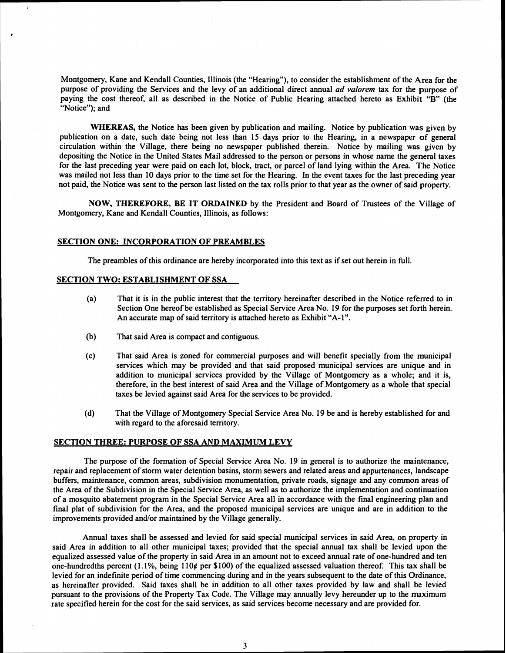Montgomery, Kane and Kendall Counties, Illinois (the "Hearing"), to consider the establishment of the Area for the purpose of providing the Services and the levy of an additional direct annual *ad valorem* tax for the purpose of paying the cost thereof, all as described in the Notice of Public Hearing attached hereto as Exhibit "B" (the "Notice"); and

**WHEREAS,** the Notice has been given by publication and mailing. Notice by publication was given by publication on a date, such date being not less than 15 days prior to the Hearing, in a newspaper of general circulation within the Village, there being no newspaper published therein. Notice by mailing was given by depositing the Notice in the United States Mail addressed to the person or persons in whose name the general taxes for the last preceding year were paid on each lot, block, tract, or parcel of land lying within the Area. The Notice was mailed not less than 10 days prior to the time set for the Hearing. In the event taxes for the last preceding year not paid, the Notice was sent to the person last listed on the tax rolls prior to that year as the owner of said property.

**NOW, THEREFORE, BE IT ORDAINED** by the President and Board of Trustees of the Village of Montgomery, Kane and Kendall Counties, Illinois, as follows:

#### **SECTION ONE: INCORPORATION OF PREAMBLES**

The preambles of this ordinance are hereby incorporated into this text as if set out herein in full.

### **SECTION TWO: ESTABLISHMENT OF SSA**

- (a) That it is in the public interest that the territory hereinafter described in the Notice referred to in Section One hereof be established as Special Service Area No. 19 for the purposes set forth herein. An accurate map of said territory is attached hereto as Exhibit "A-1 ".
- (b) That said Area is compact and contiguous.
- (c) That said Area is zoned for commercial purposes and will benefit specially from the municipal services which may be provided and that said proposed municipal services are unique and in addition to municipal services provided by the Village of Montgomery as a whole; and it is, therefore, in the best interest of said Area and the Village of Montgomery as a whole that special taxes be levied against said Area for the services to be provided.
- (d) That the Village of Montgomery Special Service Area No. 19 be and is hereby established for and with regard to the aforesaid territory.

#### **SECTION THREE: PURPOSE OF SSA AND MAXIMUM LEVY**

The purpose of the formation of Special Service Area No. 19 in general is to authorize the maintenance, repair and replacement of storm water detention basins, storm sewers and related areas and appurtenances, landscape buffers, maintenance, common areas, subdivision monumentation, private roads, signage and any common areas of the Area of the Subdivision in the Special Service Area, as well as to authorize the implementation and continuation of a mosquito abatement program in the Special Service Area all in accordance with the final engineering plan and final plat of subdivision for the Area, and the proposed municipal services are unique and are in addition to the improvements provided and/or maintained by the Village generally.

Annual taxes shall be assessed and levied for said special municipal services in said Area, on property in said Area in addition to all other municipal taxes; provided that the special annual tax shall be levied upon the equalized assessed value of the property in said Area in an amount not to exceed annual rate of one-hundred and ten one-hundredths percent (1.1%, being 110¢ per \$100) of the equalized assessed valuation thereof. This tax shall be levied for an indefinite period of time commencing during and in the years subsequent to the date of this Ordinance, as hereinafter provided. Said taxes shall be in addition to all other taxes provided by law and shall be levied pursuant to the provisions of the Property Tax Code. The Village may annually levy hereunder up to the maximum rate specified herein for the cost for the said services, as said services become necessary and are provided for.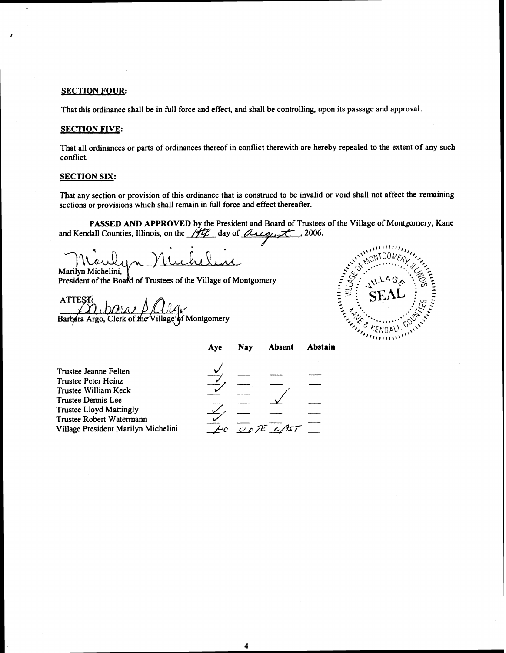### **SECTION FOUR:**

Á

That this ordinance shall be in fill force and effect, and shall be controlling, upon its passage and approval.

## **SECTION FIVE:**

That all ordinances or parts of ordinances thereof in conflict therewith are hereby repealed to the extent of any such conflict.

### **SECTION SIX:**

That any section or provision of this ordinance that is construed to be invalid or void shall not affect the remaining sections or provisions which shall remain in full force and effect thereafter.

**PASSED AND APPROVED** by the President and Board of Trustees of the Village of Montgomery, Kane and Kendall Counties, Illinois, on the  $/\sqrt{r}$  day of *Quegust*, 2006.

**u'** 

 $\overline{\mathbf{r}}$ 

Marilyn Michelini, President of the Board of Trustees of the Village of Montgomery

**ATTES**  $\theta$ ?a) Barbara Argo, Clerk of the Village of Montgomery



|  | UOTE CI |
|--|---------|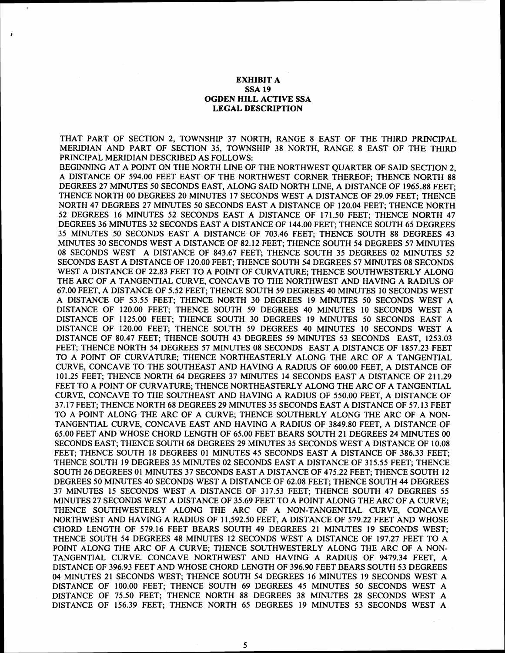### EXHIBIT A SSA **19**  OGDEN HILL ACTIVE SSA LEGAL DESCRIPTION

THAT PART OF SECTION **2,** TOWNSHIP **37** NORTH, RANGE **8** EAST OF THE THIRD PRINCIPAL MERIDIAN AND PART OF SECTION **35,** TOWNSHIP **38** NORTH, RANGE **8** EAST OF THE THIRD PRINCIPAL MERIDIAN DESCRIBED AS FOLLOWS:

BEGINNING AT A POINT ON THE NORTH LINE OF THE NORTHWEST QUARTER OF SAID SECTION **2,**  A DISTANCE OF **594.00** FEET EAST OF THE NORTHWEST CORNER THEREOF; THENCE NORTH **88**  DEGREES **27** MINUTES **50** SECONDS EAST, ALONG SAID NORTH LINE, A DISTANCE OF **1965.88** FEET; THENCE NORTH **00** DEGREES **20** MINUTES **17** SECONDS WEST A DISTANCE OF **29.09** FEET; THENCE NORTH **47** DEGREES **27** MINUTES **50** SECONDS EAST A DISTANCE OF **120.04** FEET; THENCE NORTH **52** DEGREES **16** MINUTES **52** SECONDS EAST A DISTANCE OF **171.50** FEET; THENCE NORTH **47**  DEGREES **36** MINUTES **32** SECONDS EAST A DISTANCE OF **144.00** FEET; THENCE SOUTH **65** DEGREES **35** MINUTES **50** SECONDS EAST A DISTANCE OF **703.46** FEET; THENCE SOUTH **88** DEGREES **43**  MINUTES **30** SECONDS WEST A DISTANCE OF **82.12** FEET; THENCE SOUTH **54** DEGREES **57** MINUTES **08** SECONDS WEST A DISTANCE OF **843.67** FEET; THENCE SOUTH **35** DEGREES **02** MINUTES **52**  SECONDS EAST A DISTANCE OF **120.00** FEET; THENCE SOUTH **54** DEGREES **57** MINUTES **08** SECONDS WEST A DISTANCE OF **22.83** FEET TO A POINT OF CURVATURE; THENCE SOUTHWESTERLY ALONG THE ARC OF A TANGENTIAL CURVE, CONCAVE TO THE NORTHWEST AND HAVING A RADIUS OF **67.00** FEET, A DISTANCE OF **5.52** FEET; THENCE SOUTH **59** DEGREES **40** MINUTES **10** SECONDS WEST A DISTANCE OF **53.55** FEET; THENCE NORTH **30** DEGREES **19** MINUTES **50** SECONDS WEST A DISTANCE OF **120.00** FEET; THENCE SOUTH **59** DEGREES **40** MINUTES **10** SECONDS WEST A DISTANCE OF **1125.00** FEET; THENCE SOUTH **30** DEGREES **19** MINUTES **50** SECONDS EAST A DISTANCE OF **120.00** FEET; THENCE SOUTH **59** DEGREES **40** MINUTES **10** SECONDS WEST A DISTANCE OF **80.47** FEET; THENCE SOUTH **43** DEGREES **59** MINUTES **53** SECONDS EAST, **1253.03**  FEET; THENCE NORTH **54** DEGREES **57** MINUTES **08** SECONDS EAST A DISTANCE OF **1857.23** FEET TO A POINT OF CURVATURE; THENCE NORTHEASTERLY ALONG THE ARC OF A TANGENTIAL CURVE, CONCAVE TO THE SOUTHEAST AND HAVING A RADIUS OF **600.00** FEET, A DISTANCE OF **101.25** FEET; THENCE NORTH **64** DEGREES **37** MINUTES **14** SECONDS EAST A DISTANCE OF **21 1.29**  FEET TO A POINT OF CURVATURE; THENCE NORTHEASTERLY ALONG THE ARC OF A TANGENTIAL CURVE, CONCAVE TO THE SOUTHEAST AND HAVING A RADIUS OF **550.00** FEET, A DISTANCE OF **37.17** FEET; THENCE NORTH **68** DEGREES **29** MINUTES **35** SECONDS EAST A DISTANCE OF **57.13** FEET TO **A** POINT ALONG THE ARC OF A CURVE; THENCE SOUTHERLY ALONG THE ARC OF A NON-TANGENTIAL CURVE, CONCAVE EAST AND HAVING A RADIUS OF **3849.80** FEET, A DISTANCE OF **65.00** FEET AND WHOSE CHORD LENGTH OF **65.00** FEET BEARS SOUTH **21** DEGREES **24** MINUTES **00**  SECONDS EAST; THENCE SOUTH **68** DEGREES **29** MINUTES **35** SECONDS WEST A DISTANCE OF **10.08**  FEET; THENCE SOUTH **18** DEGREES **01** MINUTES **45** SECONDS EAST A DISTANCE OF **386.33** FEET; THENCE SOUTH **19** DEGREES **35** MINUTES **02** SECONDS EAST A DISTANCE OF 3 **15.55** FEET; THENCE SOUTH **26** DEGREES **01** MINUTES **37** SECONDS EAST A DISTANCE OF **475.22** FEET; THENCE SOUTH **12**  DEGREES **50** MINUTES **40** SECONDS WEST A DISTANCE OF **62.08** FEET; THENCE SOUTH **44** DEGREES **37** MINUTES **15** SECONDS WEST A DISTANCE OF **317.53** FEET; THENCE SOUTH **47** DEGREES **55**  MINUTES **27** SECONDS WEST A DISTANCE OF **35.69** FEET TO A POINT ALONG THE ARC OF A CURVE; THENCE SOUTHWESTERLY ALONG THE ARC OF A NON-TANGENTIAL CURVE, CONCAVE NORTHWEST AND HAVING A RADIUS OF **11,592.50** FEET, A DISTANCE OF **579.22** FEET AND WHOSE CHORD LENGTH OF **579.16** FEET BEARS SOUTH **49** DEGREES **21** MINUTES **19** SECONDS WEST; THENCE SOUTH **54** DEGREES **48** MINUTES **12** SECONDS WEST A DISTANCE OF **197.27** FEET TO A POINT ALONG THE ARC OF A CURVE; THENCE SOUTHWESTERLY ALONG THE ARC OF A NON-TANGENTIAL CURVE. CONCAVE NORTHWEST AND HAVING A RADIUS OF **9479.34** FEET, A DISTANCE OF **396.93** FEET AND WHOSE CHORD LENGTH OF **396.90** FEET BEARS SOUTH **53** DEGREES **04** MINUTES **21** SECONDS WEST; THENCE SOUTH **54** DEGREES **16** MINUTES **19** SECONDS WEST A DISTANCE OF **100.00** FEET; THENCE SOUTH **69** DEGREES **45** MINUTES **50** SECONDS WEST A DISTANCE OF **75.50** FEET; THENCE NORTH **88** DEGREES **38** MINUTES **28** SECONDS WEST A DISTANCE OF **156.39** FEET; THENCE NORTH **65** DEGREES **19** MINUTES **53** SECONDS WEST A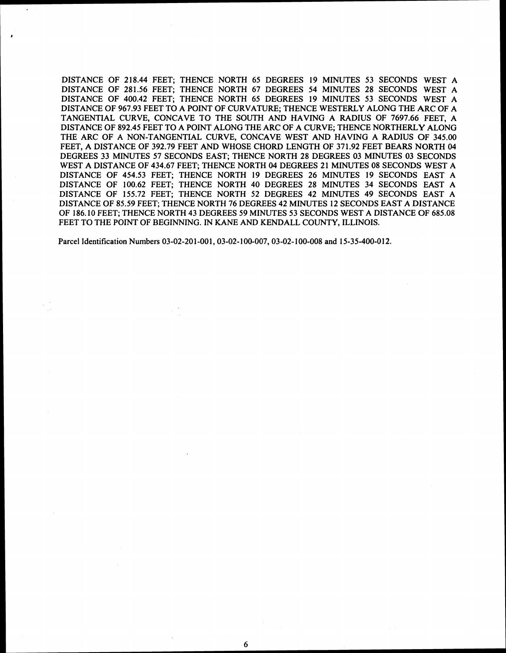DISTANCE OF **218.44** FEET; THENCE NORTH **65** DEGREES **19** MINUTES **53** SECONDS WEST A DISTANCE OF **281.56** FEET; THENCE NORTH **67** DEGREES **54** MINUTES **28** SECONDS WEST A DISTANCE OF **400.42** FEET; THENCE NORTH **65** DEGREES **19** MINUTES **53** SECONDS WEST A DISTANCE OF **967.93** FEET TO A POINT OF CURVATURE; THENCE WESTERLY ALONG THE ARC OF A TANGENTIAL CURVE, CONCAVE TO THE SOUTH AND HAVING A RADIUS OF **7697.66** FEET, A DISTANCE OF **892.45** FEET TO A POINT ALONG THE ARC OF A CURVE; THENCE NORTHERLY ALONG THE ARC OF A NON-TANGENTIAL CURVE, CONCAVE WEST AND HAVING A RADIUS OF **345.00**  FEET, A DISTANCE OF **392.79** FEET AND WHOSE CHORD LENGTH OF **371.92** FEET BEARS NORTH **04**  DEGREES **33** MINUTES **57** SECONDS EAST; THENCE NORTH **28** DEGREES **03** MINUTES **03** SECONDS WEST A DISTANCE OF **434.67** FEET; THENCE NORTH **04** DEGREES **2 1** MINUTES **08** SECONDS WEST A DISTANCE OF **454.53** FEET; THENCE NORTH **19** DEGREES **26** MINUTES **19** SECONDS EAST A DISTANCE OF **100.62** FEET; THENCE NORTH **40** DEGREES **28** MINUTES **34** SECONDS EAST A DISTANCE OF **155.72** FEET; THENCE NORTH **52** DEGREES **42** MINUTES **49** SECONDS EAST A DISTANCE OF **85.59** FEET; THENCE NORTH **76** DEGREES **42** MINUTES **12** SECONDS EAST A DISTANCE OF **186.10** FEET; THENCE NORTH **43** DEGREES **59** MINUTES **53** SECONDS WEST A DISTANCE OF **685.08**  FEET TO THE POINT OF BEGINNING. IN KANE AND KENDALL COUNTY, ILLINOIS.

Parcel Identification Numbers **03-02-20 1-00 1,03-02- 100-007,03-02- 100-008** and **15-35-400-0 12.**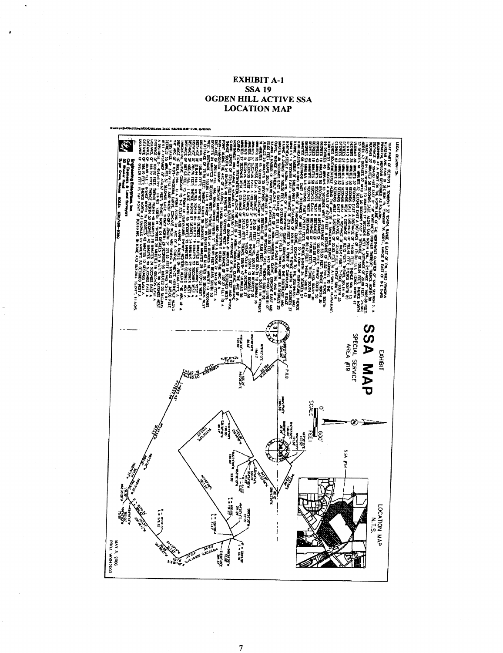## **EXHIBIT A-1 SSA 19 OGDEN HILL ACTIVE SSA LOCATION MAP**



 $\overline{7}$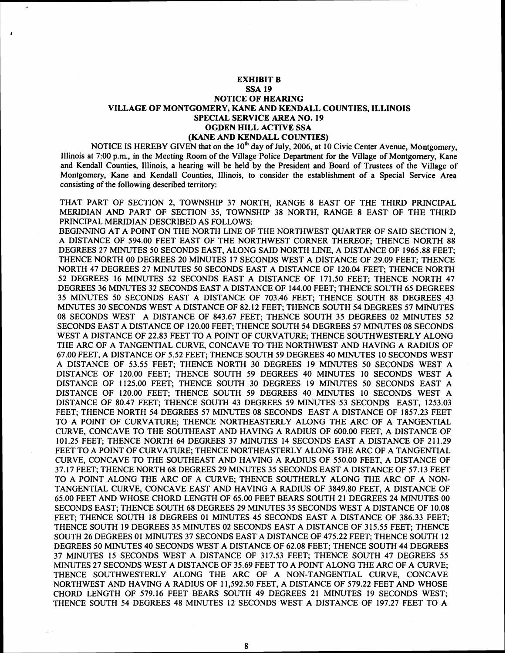### **EXHIBIT B SSA 19 NOTICE OF HEARING VILLAGE OF MONTGOMERY, KANE AND KENDALL COUNTIES, ILLINOIS SPECIAL SERVICE AREA NO. 19 OGDEN HILL ACTIVE SSA (KANE AND KENDALL COUNTIES)**

NOTICE IS HEREBY GIVEN that on the 10<sup>th</sup> day of July, 2006, at 10 Civic Center Avenue, Montgomery, Illinois at 7:00 p.m., in the Meeting Room of the Village Police Department for the Village of Montgomery, Kane and Kendall Counties, Illinois, a hearing will be held by the President and Board of Trustees of the Village of Montgomery, Kane and Kendall Counties, Illinois, to consider the establishment of a Special Service Area consisting of the following described territory:

THAT PART OF SECTION 2, TOWNSHIP 37 NORTH, RANGE 8 EAST OF THE THIRD PRINCIPAL MERIDIAN AND PART OF SECTION 35, TOWNSHIP 38 NORTH, RANGE 8 EAST OF THE THIRD PRINCIPAL MERIDIAN DESCRIBED AS FOLLOWS:

BEGINNING AT A POINT ON THE NORTH LINE OF THE NORTHWEST QUARTER OF SAID SECTION 2, A DISTANCE OF 594.00 FEET EAST OF THE NORTHWEST CORNER THEREOF; THENCE NORTH 88 DEGREES 27 MINUTES 50 SECONDS EAST, ALONG SAID NORTH LINE, A DISTANCE OF 1965.88 FEET; THENCE NORTH 00 DEGREES 20 MINUTES 17 SECONDS WEST A DISTANCE OF 29.09 FEET; THENCE NORTH 47 DEGREES 27 MINUTES 50 SECONDS EAST A DISTANCE OF 120.04 FEET; THENCE NORTH 52 DEGREES 16 MINUTES 52 SECONDS EAST A DISTANCE OF 171.50 FEET; THENCE NORTH 47 DEGREES 36 MINUTES 32 SECONDS EAST A DISTANCE OF 144.00 FEET; THENCE SOUTH 65 DEGREES 35 MINUTES 50 SECONDS EAST A DISTANCE OF 703.46 FEET; THENCE SOUTH 88 DEGREES 43 MINUTES 30 SECONDS WEST A DISTANCE OF 82.12 FEET; THENCE SOUTH 54 DEGREES 57 MINUTES 08 SECONDS WEST A DISTANCE OF 843.67 FEET; THENCE SOUTH 35 DEGREES 02 MINUTES 52 SECONDS EAST A DISTANCE OF 120.00 FEET; THENCE SOUTH 54 DEGREES 57 MMUTES 08 SECONDS WEST A DISTANCE OF 22.83 FEET TO A POINT OF CURVATURE; THENCE SOUTHWESTERLY ALONG THE ARC OF A TANGENTIAL CURVE, CONCAVE TO THE NORTHWEST AND HAVING A RADIUS OF 67.00 FEET, A DISTANCE OF 5.52 FEET; THENCE SOUTH 59 DEGREES 40 MINUTES 10 SECONDS WEST A DISTANCE OF 53.55 FEET; THENCE NORTH 30 DEGREES 19 MINUTES 50 SECONDS WEST A DISTANCE OF 120.00 FEET; THENCE SOUTH 59 DEGREES 40 MINUTES 10 SECONDS WEST A DISTANCE OF 1125.00 FEET; THENCE SOUTH 30 DEGREES 19 MINUTES 50 SECONDS EAST A DISTANCE OF 120.00 FEET; THENCE SOUTH 59 DEGREES 40 MINUTES 10 SECONDS WEST A DISTANCE OF 80.47 FEET; THENCE SOUTH 43 DEGREES 59 MINUTES 53 SECONDS EAST, 1253.03 FEET; THENCE NORTH 54 DEGREES 57 MINUTES 08 SECONDS EAST A DISTANCE OF 1857.23 FEET TO A POINT OF CURVATURE; THENCE NORTHEASTERLY ALONG THE ARC OF A TANGENTIAL CURVE, CONCAVE TO THE SOUTHEAST AND HAVING A RADIUS OF 600.00 FEET, A DISTANCE OF 101.25 FEET; THENCE NORTH 64 DEGREES 37 MINUTES 14 SECONDS EAST A DISTANCE OF 211.29 FEET TO A POINT OF CURVATURE; THENCE NORTHEASTERLY ALONG THE ARC OF A TANGENTIAL CURVE, CONCAVE TO THE SOUTHEAST AND HAVING A RADIUS OF 550.00 FEET, A DISTANCE OF 37.17 FEET; THENCE NORTH 68 DEGREES 29 MINUTES 35 SECONDS EAST A DISTANCE OF 57.13 FEET TO A POINT ALONG THE ARC OF A CURVE; THENCE SOUTHERLY ALONG THE ARC OF A NON-TANGENTIAL CURVE, CONCAVE EAST AND HAVING A RADIUS OF 3849.80 FEET, A DISTANCE OF 65.00 FEET AND WHOSE CHORD LENGTH OF 65.00 FEET BEARS SOUTH 21 DEGREES 24 MINUTES 00 SECONDS EAST; THENCE SOUTH 68 DEGREES 29 MINUTES 35 SECONDS WEST A DISTANCE OF 10.08 FEET; THENCE SOUTH 18 DEGREES 01 MINUTES 45 SECONDS EAST A DISTANCE OF 386.33 FEET; THENCE SOUTH 19 DEGREES 35 MINUTES 02 SECONDS EAST A DISTANCE OF 3 15.55 FEET; THENCE SOUTH 26 DEGREES 01 MINUTES 37 SECONDS EAST A DISTANCE OF 475.22 FEET; THENCE SOUTH 12 DEGREES 50 MINUTES 40 SECONDS WEST A DISTANCE OF 62.08 FEET; THENCE SOUTH 44 DEGREES 37 MINUTES 15 SECONDS WEST A DISTANCE OF 317.53 FEET; THENCE SOUTH 47 DEGREES 55 MINUTES 27 SECONDS WEST A DISTANCE OF 35.69 FEET TO A POINT ALONG THE ARC OF A CURVE; THENCE SOUTHWESTERLY ALONG THE ARC OF A NON-TANGENTIAL CURVE, CONCAVE NORTHWEST AND HAVING A RADIUS OF 11,592.50 FEET, A DISTANCE OF 579.22 FEET AND WHOSE CHORD LENGTH OF 579.16 FEET BEARS SOUTH 49 DEGREES 21 MINUTES 19 SECONDS WEST; THENCE SOUTH 54 DEGREES 48 MINUTES 12 SECONDS WEST A DISTANCE OF 197.27 FEET TO A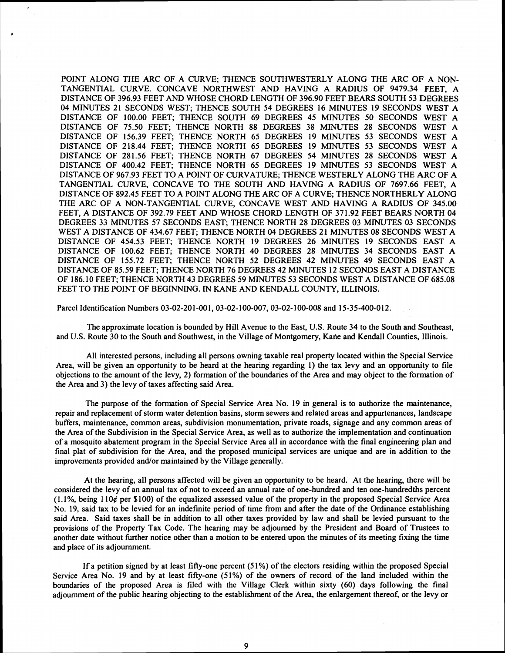POINT ALONG THE ARC OF A CURVE; THENCE SOUTHWESTERLY ALONG THE ARC OF A NON-TANGENTIAL CURVE. CONCAVE NORTHWEST AND HAVING A RADIUS OF 9479.34 FEET, A DISTANCE OF 396.93 FEET AND WHOSE CHORD LENGTH OF 396.90 FEET BEARS SOUTH 53 DEGREES 04 MINUTES 21 SECONDS WEST; THENCE SOUTH 54 DEGREES 16 MINUTES 19 SECONDS WEST A DISTANCE OF 100.00 FEET; THENCE SOUTH 69 DEGREES 45 MINUTES 50 SECONDS WEST A DISTANCE OF 75.50 FEET; THENCE NORTH 88 DEGREES 38 MINUTES 28 SECONDS WEST A DISTANCE OF 156.39 FEET; THENCE NORTH 65 DEGREES 19 MINUTES 53 SECONDS WEST A DISTANCE OF 218.44 FEET; THENCE NORTH 65 DEGREES 19 MINUTES 53 SECONDS WEST A DISTANCE OF 281.56 FEET; THENCE NORTH 67 DEGREES 54 MINUTES 28 SECONDS WEST A DISTANCE OF 400.42 FEET; THENCE NORTH 65 DEGREES 19 MINUTES 53 SECONDS WEST A DISTANCE OF 967.93 FEET TO A POINT OF CURVATURE; THENCE WESTERLY ALONG THE ARC OF A TANGENTIAL CURVE, CONCAVE TO THE SOUTH AND HAVING A RADIUS OF 7697.66 FEET, A DISTANCE OF 892.45 FEET TO A POINT ALONG THE ARC OF A CURVE; THENCE NORTHERLY ALONG THE ARC OF A NON-TANGENTIAL CURVE, CONCAVE WEST AND HAVING A RADIUS OF 345.00 FEET, A DISTANCE OF 392.79 FEET AND WHOSE CHORD LENGTH OF 371.92 FEET BEARS NORTH 04 DEGREES 33 MINUTES 57 SECONDS EAST; THENCE NORTH 28 DEGREES 03 MINUTES 03 SECONDS WEST A DISTANCE OF 434.67 FEET; THENCE NORTH 04 DEGREES 21 MINUTES 08 SECONDS WEST A DISTANCE OF 454.53 FEET; THENCE NORTH 19 DEGREES 26 MINUTES 19 SECONDS EAST A DISTANCE OF 100.62 FEET; THENCE NORTH 40 DEGREES 28 MINUTES 34 SECONDS EAST A DISTANCE OF 155.72 FEET; THENCE NORTH 52 DEGREES 42 MINUTES 49 SECONDS EAST A DISTANCE OF 85.59 FEET; THENCE NORTH 76 DEGREES 42 MINUTES 12 SECONDS EAST A DISTANCE OF 186.10 FEET; THENCE NORTH 43 DEGREES 59 MINUTES 53 SECONDS WEST **A** DISTANCE OF 685.08 FEET TO THE POINT OF BEGINNING. IN KANE AND KENDALL COUNTY, ILLINOIS.

Parcel Identification Numbers 03-02-201-001, 03-02-100-007, 03-02-100-008 and 15-35-400-012.

The approximate location is bounded by Hill Avenue to the East, U.S. Route 34 to the South and Southeast, and U.S. Route 30 to the South and Southwest, in the Village of Montgomery, Kane and Kendall Counties, Illinois.

All interested persons, including all persons owning taxable real property located within the Special Service Area, will be given an opportunity to be heard at the hearing regarding 1) the **tax** levy and an opportunity to file objections to the amount of the levy, 2) formation of the boundaries of the Area and may object to the formation of the Area and 3) the levy of taxes affecting said Area.

The purpose of the formation of Special Service Area No. 19 in general is to authorize the maintenance, repair and replacement of storm water detention basins, storm sewers and related areas and appurtenances, landscape buffers, maintenance, common areas, subdivision monumentation, private roads, signage and any common areas of the Area of the Subdivision in the Special Service Area, as well as to authorize the implementation and continuation of a mosquito abatement program in the Special Service Area all in accordance with the final engineering plan and final plat of subdivision for the Area, and the proposed municipal services are unique and are in addition to the improvements provided and/or maintained by the Village generally.

At the hearing, all persons affected will be given an opportunity to be heard. At the hearing, there will be considered the levy of an annual tax of not to exceed an annual rate of one-hundred and ten one-hundredths percent  $(1.1\%$ , being  $110¢$  per \$100) of the equalized assessed value of the property in the proposed Special Service Area No. 19, said tax to be levied for an indefinite period of time from and after the date of the Ordinance establishing said Area. Said taxes shall be in addition to all other taxes provided by law and shall be levied pursuant to the provisions of the Property Tax Code. The hearing may be adjourned by the President and Board of Trustees to another date without further notice other than a motion to be entered upon the minutes of its meeting fixing the time and place of its adjournment.

If a petition signed by at least fifty-one percent  $(51\%)$  of the electors residing within the proposed Special Service Area No. 19 and by at least fifty-one (51%) of the owners of record of the land included within the boundaries of the proposed Area is filed with the Village Clerk within sixty (60) days following the final adjournment of the public hearing objecting to the establishment of the Area, the enlargement thereof, or the levy or